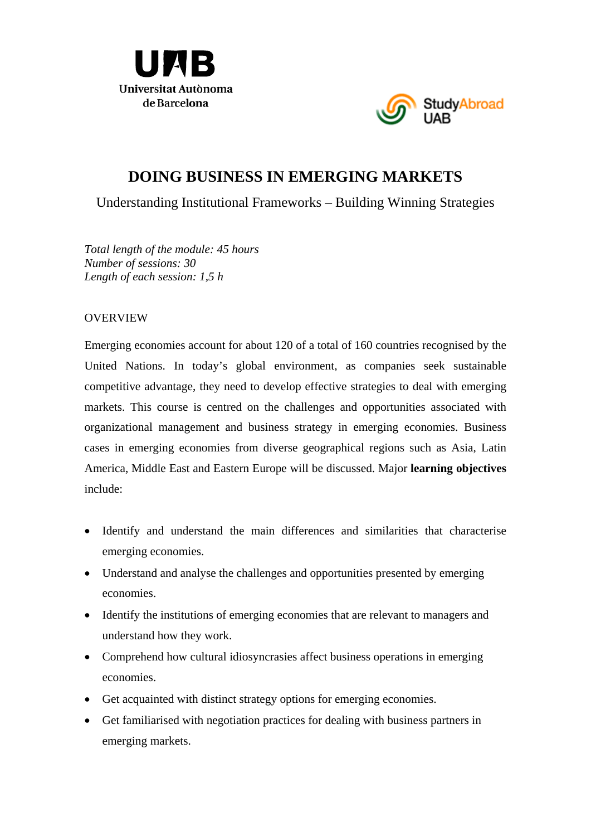



# **DOING BUSINESS IN EMERGING MARKETS**

Understanding Institutional Frameworks – Building Winning Strategies

*Total length of the module: 45 hours Number of sessions: 30 Length of each session: 1,5 h* 

#### OVERVIEW

Emerging economies account for about 120 of a total of 160 countries recognised by the United Nations. In today's global environment, as companies seek sustainable competitive advantage, they need to develop effective strategies to deal with emerging markets. This course is centred on the challenges and opportunities associated with organizational management and business strategy in emerging economies. Business cases in emerging economies from diverse geographical regions such as Asia, Latin America, Middle East and Eastern Europe will be discussed. Major **learning objectives** include:

- Identify and understand the main differences and similarities that characterise emerging economies.
- Understand and analyse the challenges and opportunities presented by emerging economies.
- Identify the institutions of emerging economies that are relevant to managers and understand how they work.
- Comprehend how cultural idiosyncrasies affect business operations in emerging economies.
- Get acquainted with distinct strategy options for emerging economies.
- Get familiarised with negotiation practices for dealing with business partners in emerging markets.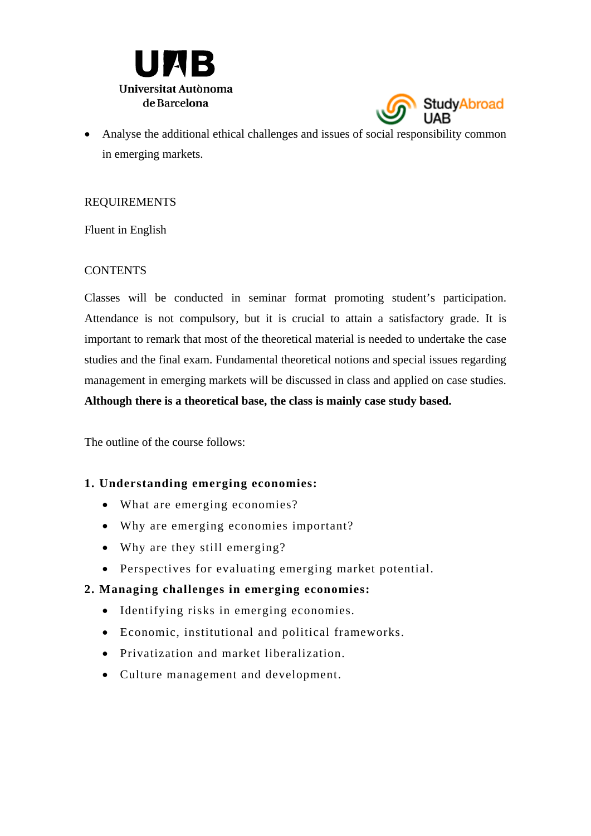



 Analyse the additional ethical challenges and issues of social responsibility common in emerging markets.

#### REQUIREMENTS

Fluent in English

#### **CONTENTS**

Classes will be conducted in seminar format promoting student's participation. Attendance is not compulsory, but it is crucial to attain a satisfactory grade. It is important to remark that most of the theoretical material is needed to undertake the case studies and the final exam. Fundamental theoretical notions and special issues regarding management in emerging markets will be discussed in class and applied on case studies. **Although there is a theoretical base, the class is mainly case study based.**

The outline of the course follows:

# **1. Understanding emerging economies:**

- What are emerging economies?
- Why are emerging economies important?
- Why are they still emerging?
- Perspectives for evaluating emerging market potential.

# **2. Managing challenges in emerging economies:**

- Identifying risks in emerging economies.
- Economic, institutional and political frameworks.
- Privatization and market liberalization.
- Culture management and development.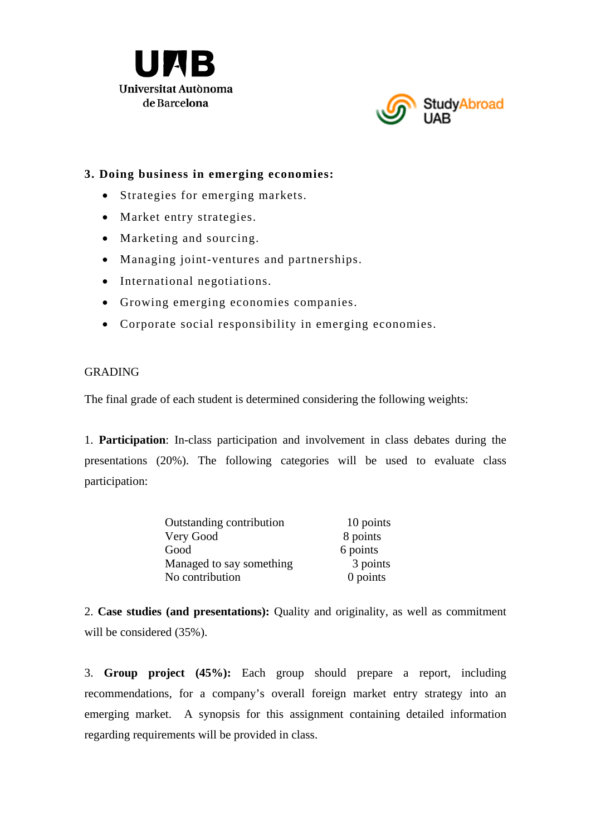



# **3. Doing business in emerging economies:**

- Strategies for emerging markets.
- Market entry strategies.
- Marketing and sourcing.
- Managing joint-ventures and partnerships.
- International negotiations.
- Growing emerging economies companies.
- Corporate social responsibility in emerging economies.

#### GRADING

The final grade of each student is determined considering the following weights:

1. **Participation**: In-class participation and involvement in class debates during the presentations (20%). The following categories will be used to evaluate class participation:

| Outstanding contribution | 10 points  |
|--------------------------|------------|
| Very Good                | 8 points   |
| Good                     | 6 points   |
| Managed to say something | 3 points   |
| No contribution          | $0$ points |

2. **Case studies (and presentations):** Quality and originality, as well as commitment will be considered (35%).

3. **Group project (45%):** Each group should prepare a report, including recommendations, for a company's overall foreign market entry strategy into an emerging market. A synopsis for this assignment containing detailed information regarding requirements will be provided in class.